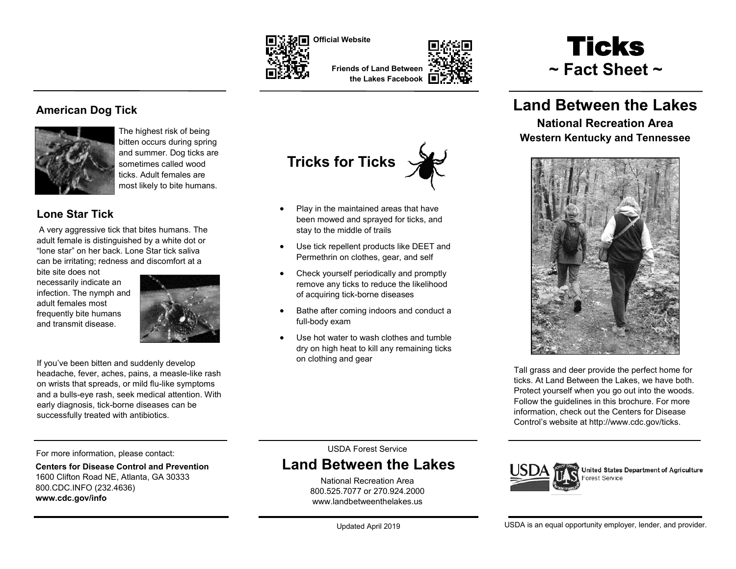

**Tricks for Ticks**

stay to the middle of trails

• Play in the maintained areas that have been mowed and sprayed for ticks, and

 Use tick repellent products like DEET and Permethrin on clothes, gear, and self Check yourself periodically and promptly remove any ticks to reduce the likelihood

Bathe after coming indoors and conduct a

 Use hot water to wash clothes and tumble dry on high heat to kill any remaining ticks

of acquiring tick-borne diseases

full-body exam

on clothing and gear

**Friends of Land Between the Lakes Facebook**

# **Ticks ~ Fact Sheet ~**

# **Land Between the Lakes**

**National Recreation Area Western Kentucky and Tennessee**



Tall grass and deer provide the perfect home for ticks. At Land Between the Lakes, we have both. Protect yourself when you go out into the woods. Follow the guidelines in this brochure. For more information, check out the Centers for Disease Control's website at http://www.cdc.gov/ticks.

## **American Dog Tick**



The highest risk of being bitten occurs during spring and summer. Dog ticks are sometimes called wood ticks. Adult females are most likely to bite humans.

## **Lone Star Tick**

A very aggressive tick that bites humans. The adult female is distinguished by a white dot or "lone star" on her back. Lone Star tick saliva can be irritating; redness and discomfort at a

bite site does not necessarily indicate an infection. The nymph and adult females most frequently bite humans and transmit disease.



If you've been bitten and suddenly develop headache, fever, aches, pains, a measle-like rash on wrists that spreads, or mild flu-like symptoms and a bulls-eye rash, seek medical attention. With early diagnosis, tick-borne diseases can be successfully treated with antibiotics.

> USDA Forest Service **Land Between the Lakes**

> > National Recreation Area 800.525.7077 or 270.924.2000 [www.landbetweenthelakes.us](http://www.landbetweenthelakes.us)



United States Department of Agriculture Forest Service

### For more information, please contact:

**Centers for Disease Control and Prevention** 1600 Clifton Road NE, Atlanta, GA 30333 800.CDC.INFO (232.4636) **www.cdc.gov/info**